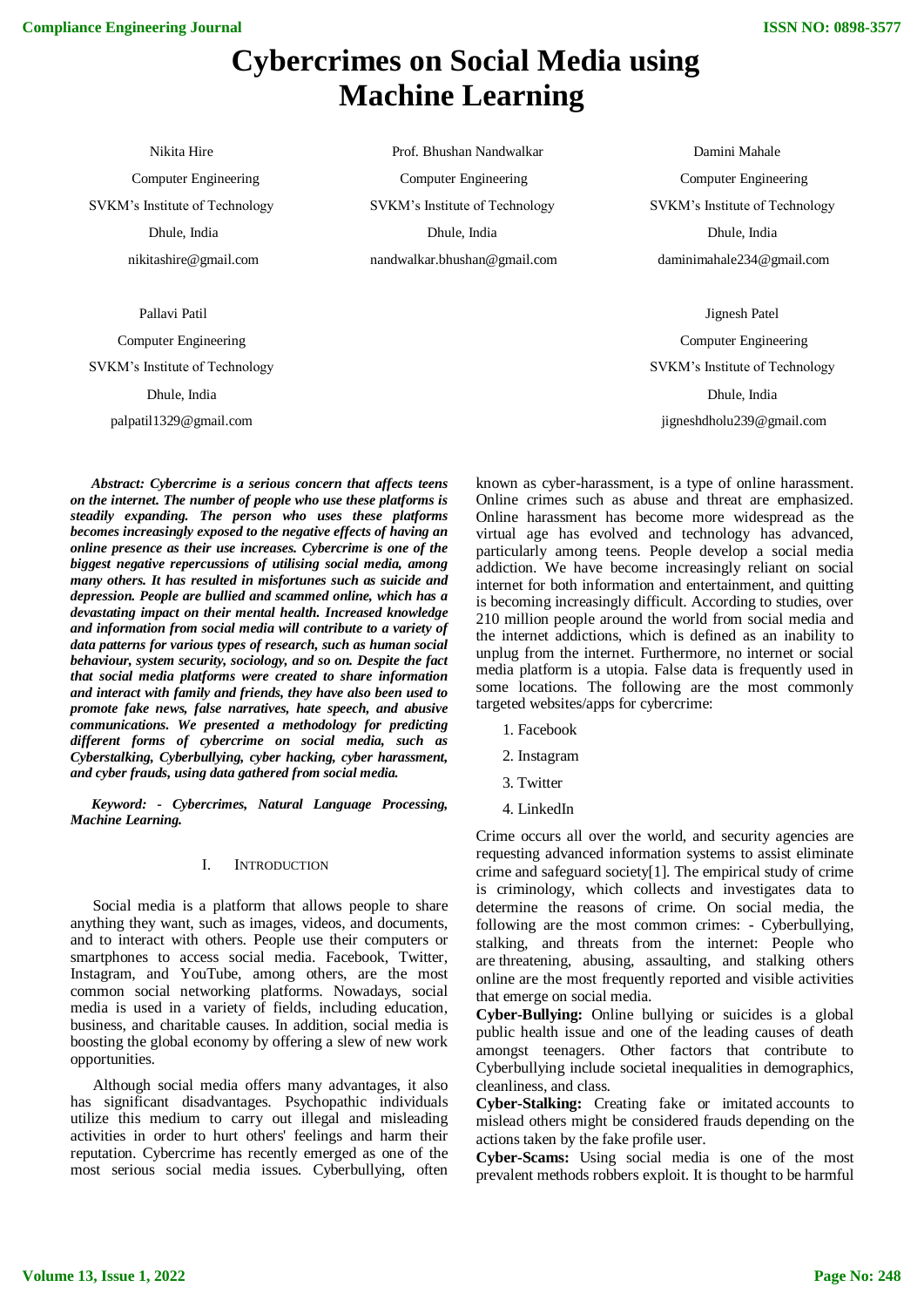# **Cybercrimes on Social Media using Machine Learning**

Nikita Hire Computer Engineering SVKM's Institute of Technology Dhule, India nikitashire@gmail.com

Pallavi Patil

Computer Engineering SVKM's Institute of Technology Dhule, India palpatil1329@gmail.com

*Abstract: Cybercrime is a serious concern that affects teens on the internet. The number of people who use these platforms is steadily expanding. The person who uses these platforms becomes increasingly exposed to the negative effects of having an online presence as their use increases. Cybercrime is one of the biggest negative repercussions of utilising social media, among many others. It has resulted in misfortunes such as suicide and depression. People are bullied and scammed online, which has a devastating impact on their mental health. Increased knowledge and information from social media will contribute to a variety of data patterns for various types of research, such as human social behaviour, system security, sociology, and so on. Despite the fact that social media platforms were created to share information and interact with family and friends, they have also been used to promote fake news, false narratives, hate speech, and abusive communications. We presented a methodology for predicting different forms of cybercrime on social media, such as Cyberstalking, Cyberbullying, cyber hacking, cyber harassment, and cyber frauds, using data gathered from social media.*

*Keyword: - Cybercrimes, Natural Language Processing, Machine Learning.*

#### I. INTRODUCTION

Social media is a platform that allows people to share anything they want, such as images, videos, and documents, and to interact with others. People use their computers or smartphones to access social media. Facebook, Twitter, Instagram, and YouTube, among others, are the most common social networking platforms. Nowadays, social media is used in a variety of fields, including education, business, and charitable causes. In addition, social media is boosting the global economy by offering a slew of new work opportunities.

Although social media offers many advantages, it also has significant disadvantages. Psychopathic individuals utilize this medium to carry out illegal and misleading activities in order to hurt others' feelings and harm their reputation. Cybercrime has recently emerged as one of the most serious social media issues. Cyberbullying, often

 Prof. Bhushan Nandwalkar Computer Engineering SVKM's Institute of Technology Dhule, India nandwalkar.bhushan@gmail.com

Computer Engineering SVKM's Institute of Technology Dhule, India daminimahale234@gmail.com

Damini Mahale

Jignesh Patel Computer Engineering SVKM's Institute of Technology Dhule, India jigneshdholu239@gmail.com

known as cyber-harassment, is a type of online harassment. Online crimes such as abuse and threat are emphasized. Online harassment has become more widespread as the virtual age has evolved and technology has advanced, particularly among teens. People develop a social media addiction. We have become increasingly reliant on social internet for both information and entertainment, and quitting is becoming increasingly difficult. According to studies, over 210 million people around the world from social media and the internet addictions, which is defined as an inability to unplug from the internet. Furthermore, no internet or social media platform is a utopia. False data is frequently used in some locations. The following are the most commonly targeted websites/apps for cybercrime:

- 1. Facebook
- 2. Instagram
- 3. Twitter
- 4. LinkedIn

Crime occurs all over the world, and security agencies are requesting advanced information systems to assist eliminate crime and safeguard society[1]. The empirical study of crime is criminology, which collects and investigates data to determine the reasons of crime. On social media, the following are the most common crimes: - Cyberbullying, stalking, and threats from the internet: People who are threatening, abusing, assaulting, and stalking others online are the most frequently reported and visible activities that emerge on social media.

**Cyber-Bullying:** Online bullying or suicides is a global public health issue and one of the leading causes of death amongst teenagers. Other factors that contribute to Cyberbullying include societal inequalities in demographics, cleanliness, and class.

**Cyber-Stalking:** Creating fake or imitated accounts to mislead others might be considered frauds depending on the actions taken by the fake profile user.

**Cyber-Scams:** Using social media is one of the most prevalent methods robbers exploit. It is thought to be harmful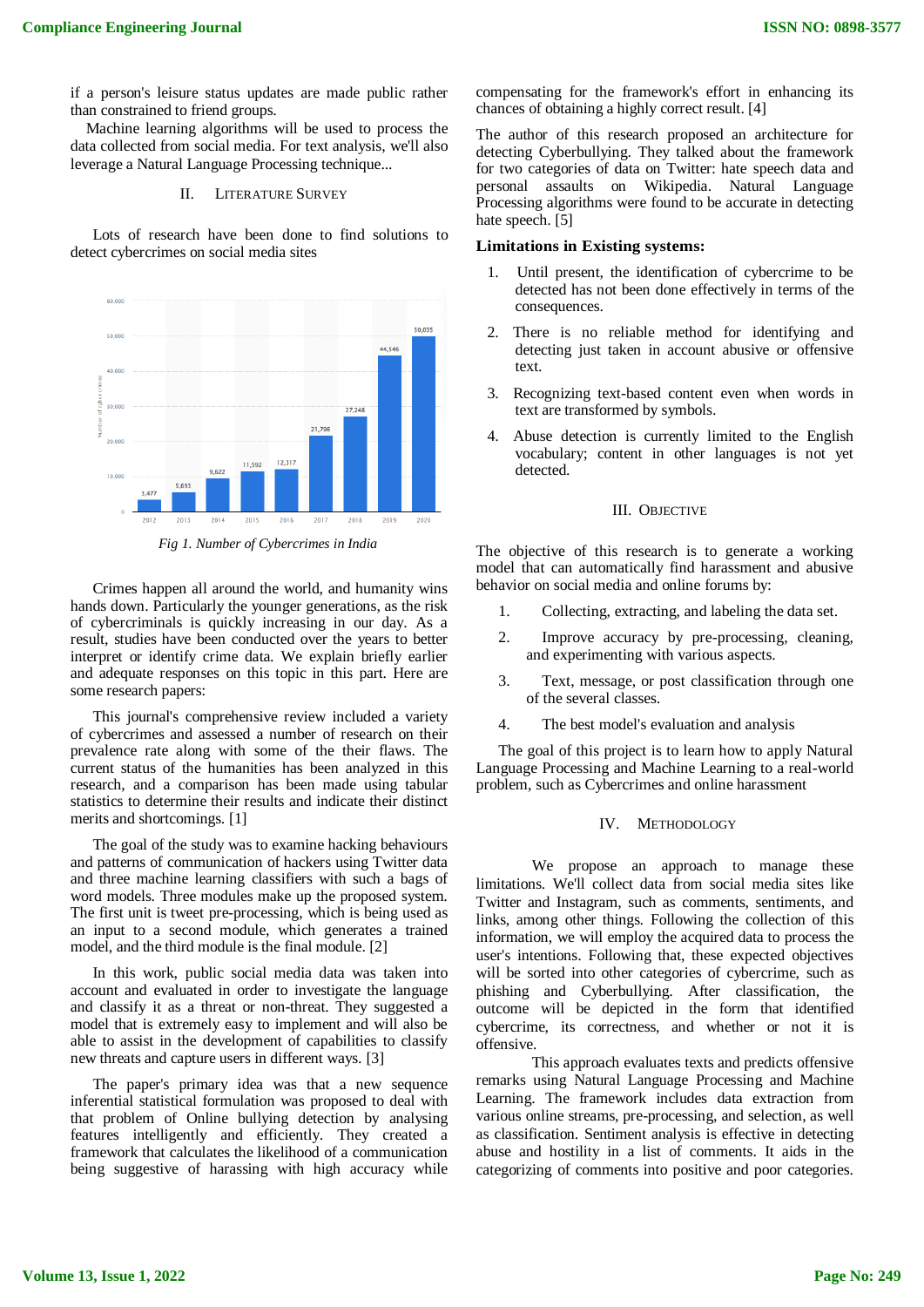if a person's leisure status updates are made public rather than constrained to friend groups.

 Machine learning algorithms will be used to process the data collected from social media. For text analysis, we'll also leverage a Natural Language Processing technique...

# II. LITERATURE SURVEY

Lots of research have been done to find solutions to detect cybercrimes on social media sites



*Fig 1. Number of Cybercrimes in India*

Crimes happen all around the world, and humanity wins hands down. Particularly the younger generations, as the risk of cybercriminals is quickly increasing in our day. As a result, studies have been conducted over the years to better interpret or identify crime data. We explain briefly earlier and adequate responses on this topic in this part. Here are some research papers:

This journal's comprehensive review included a variety of cybercrimes and assessed a number of research on their prevalence rate along with some of the their flaws. The current status of the humanities has been analyzed in this research, and a comparison has been made using tabular statistics to determine their results and indicate their distinct merits and shortcomings. [1]

The goal of the study was to examine hacking behaviours and patterns of communication of hackers using Twitter data and three machine learning classifiers with such a bags of word models. Three modules make up the proposed system. The first unit is tweet pre-processing, which is being used as an input to a second module, which generates a trained model, and the third module is the final module. [2]

In this work, public social media data was taken into account and evaluated in order to investigate the language and classify it as a threat or non-threat. They suggested a model that is extremely easy to implement and will also be able to assist in the development of capabilities to classify new threats and capture users in different ways. [3]

The paper's primary idea was that a new sequence inferential statistical formulation was proposed to deal with that problem of Online bullying detection by analysing features intelligently and efficiently. They created a framework that calculates the likelihood of a communication being suggestive of harassing with high accuracy while compensating for the framework's effort in enhancing its chances of obtaining a highly correct result. [4]

The author of this research proposed an architecture for detecting Cyberbullying. They talked about the framework for two categories of data on Twitter: hate speech data and personal assaults on Wikipedia. Natural Language Processing algorithms were found to be accurate in detecting hate speech. [5]

## **Limitations in Existing systems:**

- 1. Until present, the identification of cybercrime to be detected has not been done effectively in terms of the consequences.
- 2. There is no reliable method for identifying and detecting just taken in account abusive or offensive text.
- 3. Recognizing text-based content even when words in text are transformed by symbols.
- 4. Abuse detection is currently limited to the English vocabulary; content in other languages is not yet detected.

#### III. OBJECTIVE

The objective of this research is to generate a working model that can automatically find harassment and abusive behavior on social media and online forums by:

- 1. Collecting, extracting, and labeling the data set.
- 2. Improve accuracy by pre-processing, cleaning, and experimenting with various aspects.
- 3. Text, message, or post classification through one of the several classes.
- 4. The best model's evaluation and analysis

The goal of this project is to learn how to apply Natural Language Processing and Machine Learning to a real-world problem, such as Cybercrimes and online harassment

#### IV. METHODOLOGY

We propose an approach to manage these limitations. We'll collect data from social media sites like Twitter and Instagram, such as comments, sentiments, and links, among other things. Following the collection of this information, we will employ the acquired data to process the user's intentions. Following that, these expected objectives will be sorted into other categories of cybercrime, such as phishing and Cyberbullying. After classification, the outcome will be depicted in the form that identified cybercrime, its correctness, and whether or not it is offensive.

 This approach evaluates texts and predicts offensive remarks using Natural Language Processing and Machine Learning. The framework includes data extraction from various online streams, pre-processing, and selection, as well as classification. Sentiment analysis is effective in detecting abuse and hostility in a list of comments. It aids in the categorizing of comments into positive and poor categories.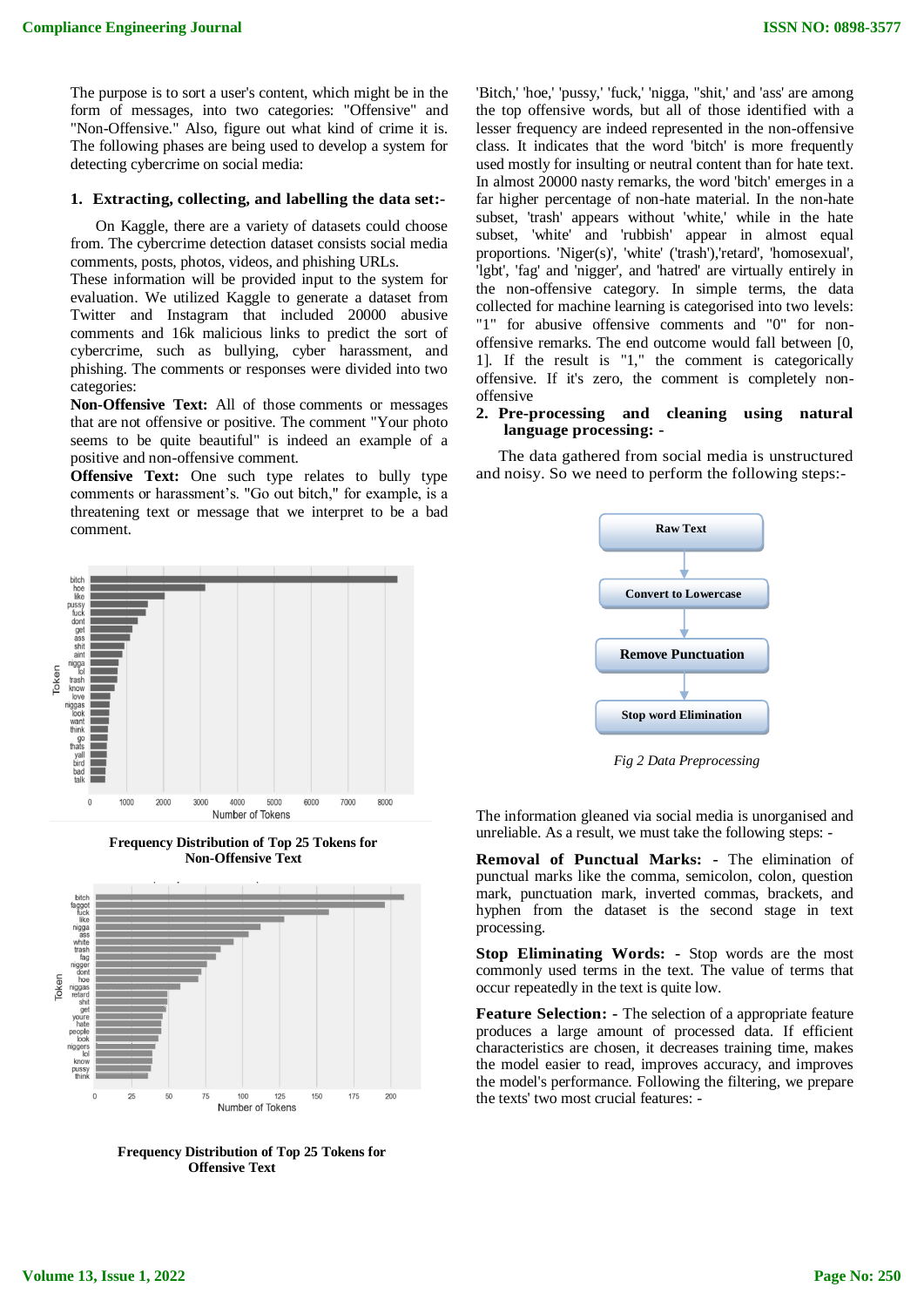The purpose is to sort a user's content, which might be in the form of messages, into two categories: "Offensive" and "Non-Offensive." Also, figure out what kind of crime it is. The following phases are being used to develop a system for detecting cybercrime on social media:

#### **1. Extracting, collecting, and labelling the data set:-**

 On Kaggle, there are a variety of datasets could choose from. The cybercrime detection dataset consists social media comments, posts, photos, videos, and phishing URLs.

These information will be provided input to the system for evaluation. We utilized Kaggle to generate a dataset from Twitter and Instagram that included 20000 abusive comments and 16k malicious links to predict the sort of cybercrime, such as bullying, cyber harassment, and phishing. The comments or responses were divided into two categories:

**Non-Offensive Text:** All of those comments or messages that are not offensive or positive. The comment "Your photo seems to be quite beautiful" is indeed an example of a positive and non-offensive comment.

**Offensive Text:** One such type relates to bully type comments or harassment's. "Go out bitch," for example, is a threatening text or message that we interpret to be a bad comment.



**Frequency Distribution of Top 25 Tokens for Non-Offensive Text**



**Frequency Distribution of Top 25 Tokens for Offensive Text**

'Bitch,' 'hoe,' 'pussy,' 'fuck,' 'nigga, "shit,' and 'ass' are among the top offensive words, but all of those identified with a lesser frequency are indeed represented in the non-offensive class. It indicates that the word 'bitch' is more frequently used mostly for insulting or neutral content than for hate text. In almost 20000 nasty remarks, the word 'bitch' emerges in a far higher percentage of non-hate material. In the non-hate subset, 'trash' appears without 'white,' while in the hate subset, 'white' and 'rubbish' appear in almost equal proportions. 'Niger(s)', 'white' ('trash'),'retard', 'homosexual', 'lgbt', 'fag' and 'nigger', and 'hatred' are virtually entirely in the non-offensive category. In simple terms, the data collected for machine learning is categorised into two levels: "1" for abusive offensive comments and "0" for nonoffensive remarks. The end outcome would fall between [0, 1]. If the result is "1," the comment is categorically offensive. If it's zero, the comment is completely nonoffensive

#### **2. Pre-processing and cleaning using natural language processing: -**

The data gathered from social media is unstructured and noisy. So we need to perform the following steps:-



*Fig 2 Data Preprocessing*

The information gleaned via social media is unorganised and unreliable. As a result, we must take the following steps: -

**Removal of Punctual Marks: -** The elimination of punctual marks like the comma, semicolon, colon, question mark, punctuation mark, inverted commas, brackets, and hyphen from the dataset is the second stage in text processing.

**Stop Eliminating Words: -** Stop words are the most commonly used terms in the text. The value of terms that occur repeatedly in the text is quite low.

**Feature Selection: -** The selection of a appropriate feature produces a large amount of processed data. If efficient characteristics are chosen, it decreases training time, makes the model easier to read, improves accuracy, and improves the model's performance. Following the filtering, we prepare the texts' two most crucial features: -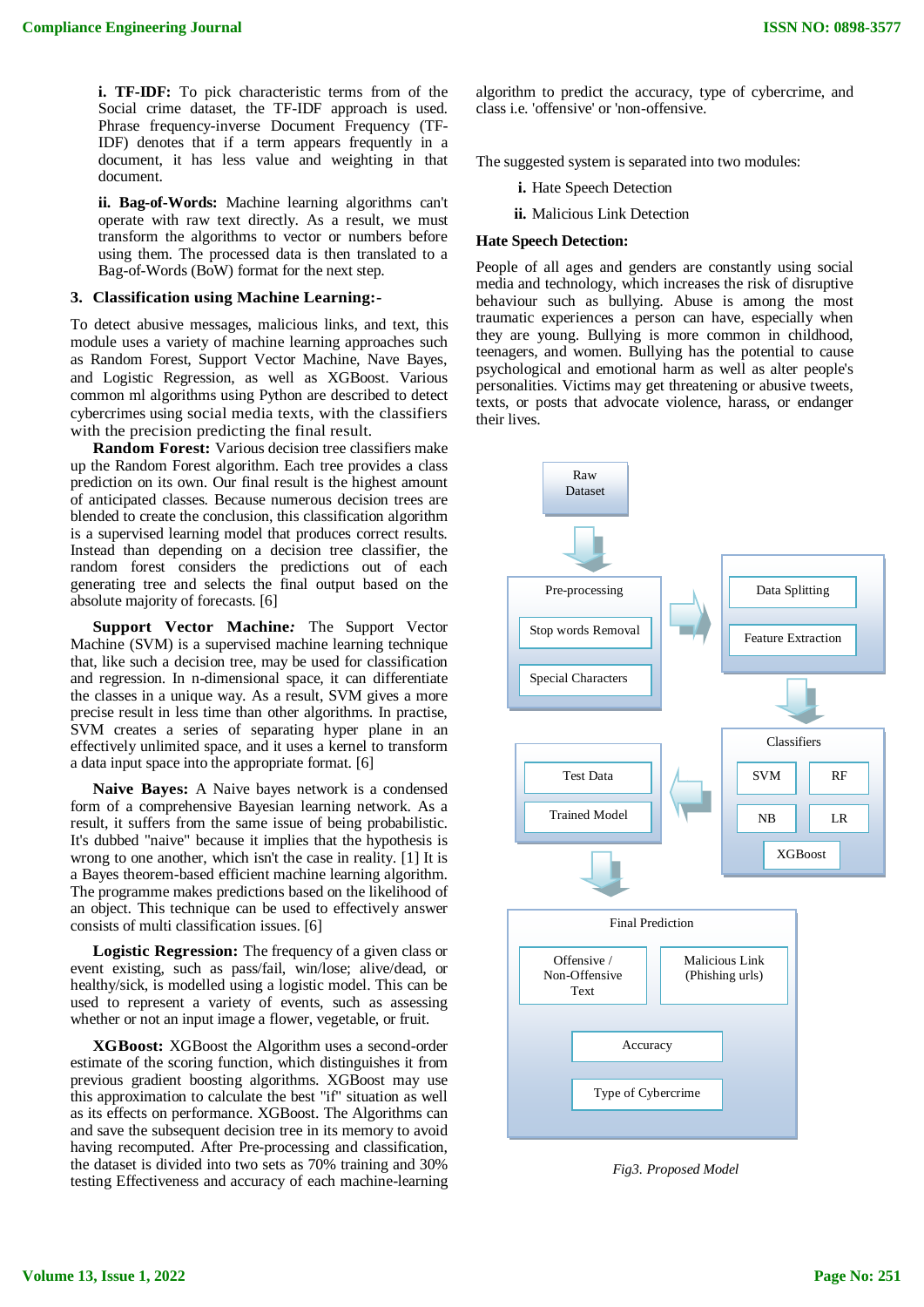**i. TF-IDF:** To pick characteristic terms from of the Social crime dataset, the TF-IDF approach is used. Phrase frequency-inverse Document Frequency (TF-IDF) denotes that if a term appears frequently in a document, it has less value and weighting in that document.

**ii. Bag-of-Words:** Machine learning algorithms can't operate with raw text directly. As a result, we must transform the algorithms to vector or numbers before using them. The processed data is then translated to a Bag-of-Words (BoW) format for the next step.

## **3. Classification using Machine Learning:-**

To detect abusive messages, malicious links, and text, this module uses a variety of machine learning approaches such as Random Forest, Support Vector Machine, Nave Bayes, and Logistic Regression, as well as XGBoost. Various common ml algorithms using Python are described to detect cybercrimes using social media texts, with the classifiers with the precision predicting the final result.

**Random Forest:** Various decision tree classifiers make up the Random Forest algorithm. Each tree provides a class prediction on its own. Our final result is the highest amount of anticipated classes. Because numerous decision trees are blended to create the conclusion, this classification algorithm is a supervised learning model that produces correct results. Instead than depending on a decision tree classifier, the random forest considers the predictions out of each generating tree and selects the final output based on the absolute majority of forecasts. [6]

**Support Vector Machine***:* The Support Vector Machine (SVM) is a supervised machine learning technique that, like such a decision tree, may be used for classification and regression. In n-dimensional space, it can differentiate the classes in a unique way. As a result, SVM gives a more precise result in less time than other algorithms. In practise, SVM creates a series of separating hyper plane in an effectively unlimited space, and it uses a kernel to transform a data input space into the appropriate format. [6]

**Naive Bayes:** A Naive bayes network is a condensed form of a comprehensive Bayesian learning network. As a result, it suffers from the same issue of being probabilistic. It's dubbed "naive" because it implies that the hypothesis is wrong to one another, which isn't the case in reality. [1] It is a Bayes theorem-based efficient machine learning algorithm. The programme makes predictions based on the likelihood of an object. This technique can be used to effectively answer consists of multi classification issues. [6]

**Logistic Regression:** The frequency of a given class or event existing, such as pass/fail, win/lose; alive/dead, or healthy/sick, is modelled using a logistic model. This can be used to represent a variety of events, such as assessing whether or not an input image a flower, vegetable, or fruit.

**XGBoost:** XGBoost the Algorithm uses a second-order estimate of the scoring function, which distinguishes it from previous gradient boosting algorithms. XGBoost may use this approximation to calculate the best "if" situation as well as its effects on performance. XGBoost. The Algorithms can and save the subsequent decision tree in its memory to avoid having recomputed. After Pre-processing and classification, the dataset is divided into two sets as 70% training and 30% testing Effectiveness and accuracy of each machine-learning

algorithm to predict the accuracy, type of cybercrime, and class i.e. 'offensive' or 'non-offensive.

The suggested system is separated into two modules:

**i.** Hate Speech Detection

**ii.** Malicious Link Detection

#### **Hate Speech Detection:**

People of all ages and genders are constantly using social media and technology, which increases the risk of disruptive behaviour such as bullying. Abuse is among the most traumatic experiences a person can have, especially when they are young. Bullying is more common in childhood, teenagers, and women. Bullying has the potential to cause psychological and emotional harm as well as alter people's personalities. Victims may get threatening or abusive tweets, texts, or posts that advocate violence, harass, or endanger their lives.



*Fig3. Proposed Model*